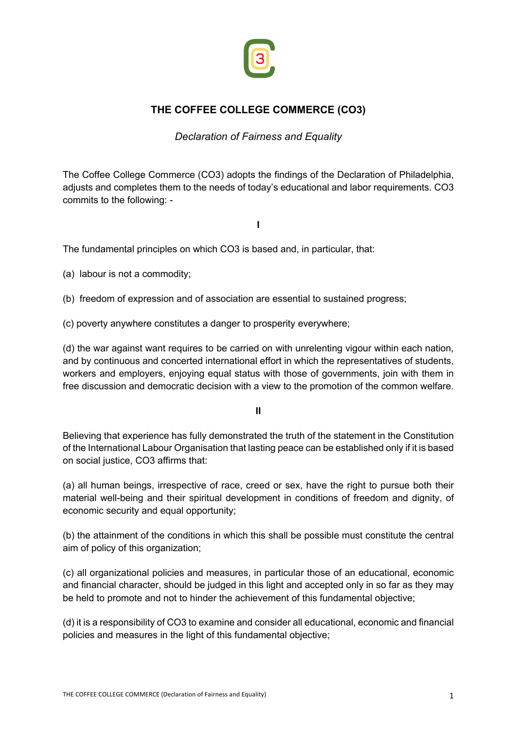

## **THE COFFEE COLLEGE COMMERCE (CO3)**

*Declaration of Fairness and Equality*

The Coffee College Commerce (CO3) adopts the findings of the Declaration of Philadelphia, adjusts and completes them to the needs of today's educational and labor requirements. CO3 commits to the following: -

**I**

The fundamental principles on which CO3 is based and, in particular, that:

(a) labour is not a commodity;

- (b) freedom of expression and of association are essential to sustained progress;
- (c) poverty anywhere constitutes a danger to prosperity everywhere;

(d) the war against want requires to be carried on with unrelenting vigour within each nation, and by continuous and concerted international effort in which the representatives of students, workers and employers, enjoying equal status with those of governments, join with them in free discussion and democratic decision with a view to the promotion of the common welfare.

**II**

Believing that experience has fully demonstrated the truth of the statement in the Constitution of the International Labour Organisation that lasting peace can be established only if it is based on social justice, CO3 affirms that:

(a) all human beings, irrespective of race, creed or sex, have the right to pursue both their material well-being and their spiritual development in conditions of freedom and dignity, of economic security and equal opportunity;

(b) the attainment of the conditions in which this shall be possible must constitute the central aim of policy of this organization;

(c) all organizational policies and measures, in particular those of an educational, economic and financial character, should be judged in this light and accepted only in so far as they may be held to promote and not to hinder the achievement of this fundamental objective;

(d) it is a responsibility of CO3 to examine and consider all educational, economic and financial policies and measures in the light of this fundamental objective;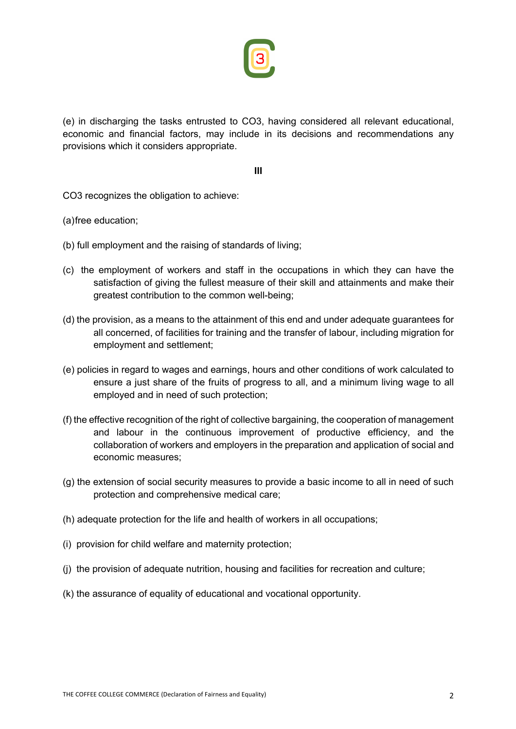

(e) in discharging the tasks entrusted to CO3, having considered all relevant educational, economic and financial factors, may include in its decisions and recommendations any provisions which it considers appropriate.

**III**

CO3 recognizes the obligation to achieve:

(a)free education;

- (b) full employment and the raising of standards of living;
- (c) the employment of workers and staff in the occupations in which they can have the satisfaction of giving the fullest measure of their skill and attainments and make their greatest contribution to the common well-being;
- (d) the provision, as a means to the attainment of this end and under adequate guarantees for all concerned, of facilities for training and the transfer of labour, including migration for employment and settlement;
- (e) policies in regard to wages and earnings, hours and other conditions of work calculated to ensure a just share of the fruits of progress to all, and a minimum living wage to all employed and in need of such protection;
- (f) the effective recognition of the right of collective bargaining, the cooperation of management and labour in the continuous improvement of productive efficiency, and the collaboration of workers and employers in the preparation and application of social and economic measures;
- (g) the extension of social security measures to provide a basic income to all in need of such protection and comprehensive medical care;
- (h) adequate protection for the life and health of workers in all occupations;
- (i) provision for child welfare and maternity protection;
- (j) the provision of adequate nutrition, housing and facilities for recreation and culture;
- (k) the assurance of equality of educational and vocational opportunity.